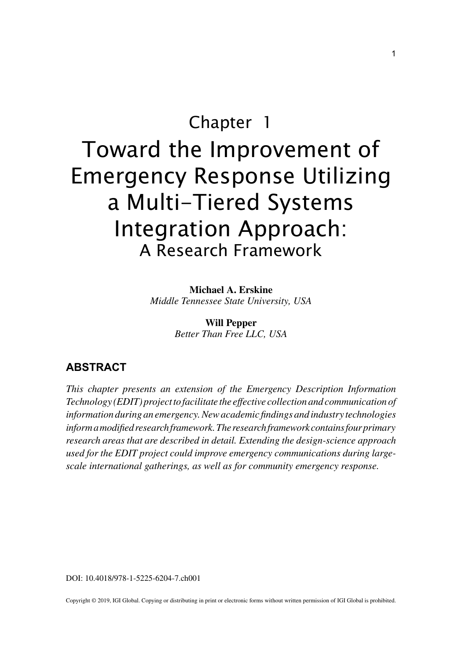## Chapter 1

# Toward the Improvement of Emergency Response Utilizing a Multi-Tiered Systems Integration Approach: A Research Framework

**Michael A. Erskine** *Middle Tennessee State University, USA*

> **Will Pepper** *Better Than Free LLC, USA*

### **ABSTRACT**

*This chapter presents an extension of the Emergency Description Information Technology (EDIT) project to facilitate the effective collection and communication of information during an emergency. New academic findings and industry technologies inform a modified research framework. The research framework contains four primary research areas that are described in detail. Extending the design-science approach used for the EDIT project could improve emergency communications during largescale international gatherings, as well as for community emergency response.*

DOI: 10.4018/978-1-5225-6204-7.ch001

Copyright © 2019, IGI Global. Copying or distributing in print or electronic forms without written permission of IGI Global is prohibited.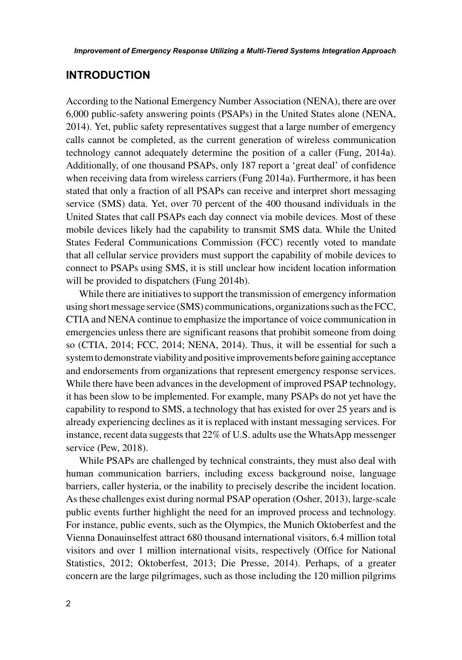#### **INTRODUCTION**

According to the National Emergency Number Association (NENA), there are over 6,000 public-safety answering points (PSAPs) in the United States alone (NENA, 2014). Yet, public safety representatives suggest that a large number of emergency calls cannot be completed, as the current generation of wireless communication technology cannot adequately determine the position of a caller (Fung, 2014a). Additionally, of one thousand PSAPs, only 187 report a 'great deal' of confidence when receiving data from wireless carriers (Fung 2014a). Furthermore, it has been stated that only a fraction of all PSAPs can receive and interpret short messaging service (SMS) data. Yet, over 70 percent of the 400 thousand individuals in the United States that call PSAPs each day connect via mobile devices. Most of these mobile devices likely had the capability to transmit SMS data. While the United States Federal Communications Commission (FCC) recently voted to mandate that all cellular service providers must support the capability of mobile devices to connect to PSAPs using SMS, it is still unclear how incident location information will be provided to dispatchers (Fung 2014b).

While there are initiatives to support the transmission of emergency information using short message service (SMS) communications, organizations such as the FCC, CTIA and NENA continue to emphasize the importance of voice communication in emergencies unless there are significant reasons that prohibit someone from doing so (CTIA, 2014; FCC, 2014; NENA, 2014). Thus, it will be essential for such a system to demonstrate viability and positive improvements before gaining acceptance and endorsements from organizations that represent emergency response services. While there have been advances in the development of improved PSAP technology, it has been slow to be implemented. For example, many PSAPs do not yet have the capability to respond to SMS, a technology that has existed for over 25 years and is already experiencing declines as it is replaced with instant messaging services. For instance, recent data suggests that 22% of U.S. adults use the WhatsApp messenger service (Pew, 2018).

While PSAPs are challenged by technical constraints, they must also deal with human communication barriers, including excess background noise, language barriers, caller hysteria, or the inability to precisely describe the incident location. As these challenges exist during normal PSAP operation (Osher, 2013), large-scale public events further highlight the need for an improved process and technology. For instance, public events, such as the Olympics, the Munich Oktoberfest and the Vienna Donauinselfest attract 680 thousand international visitors, 6.4 million total visitors and over 1 million international visits, respectively (Office for National Statistics, 2012; Oktoberfest, 2013; Die Presse, 2014). Perhaps, of a greater concern are the large pilgrimages, such as those including the 120 million pilgrims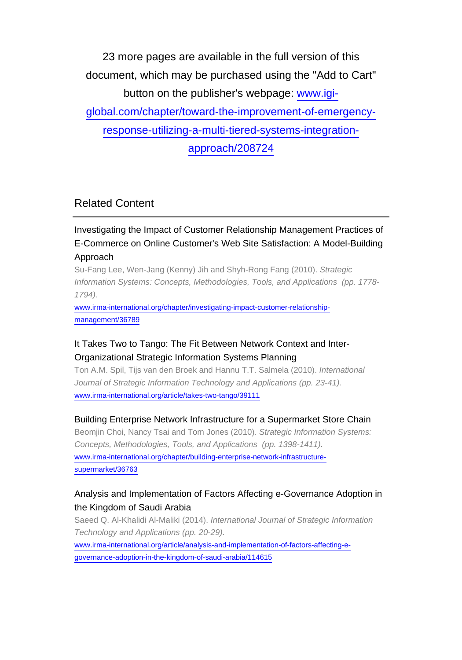23 more pages are available in the full version of this document, which may be purchased using the "Add to Cart" button on the publisher's webpage: [www.igi](http://www.igi-global.com/chapter/toward-the-improvement-of-emergency-response-utilizing-a-multi-tiered-systems-integration-approach/208724)[global.com/chapter/toward-the-improvement-of-emergency](http://www.igi-global.com/chapter/toward-the-improvement-of-emergency-response-utilizing-a-multi-tiered-systems-integration-approach/208724)[response-utilizing-a-multi-tiered-systems-integration](http://www.igi-global.com/chapter/toward-the-improvement-of-emergency-response-utilizing-a-multi-tiered-systems-integration-approach/208724)[approach/208724](http://www.igi-global.com/chapter/toward-the-improvement-of-emergency-response-utilizing-a-multi-tiered-systems-integration-approach/208724)

Related Content

Investigating the Impact of Customer Relationship Management Practices of E-Commerce on Online Customer's Web Site Satisfaction: A Model-Building Approach

Su-Fang Lee, Wen-Jang (Kenny) Jih and Shyh-Rong Fang (2010). Strategic Information Systems: Concepts, Methodologies, Tools, and Applications (pp. 1778- 1794).

[www.irma-international.org/chapter/investigating-impact-customer-relationship](http://www.irma-international.org/chapter/investigating-impact-customer-relationship-management/36789)[management/36789](http://www.irma-international.org/chapter/investigating-impact-customer-relationship-management/36789)

#### It Takes Two to Tango: The Fit Between Network Context and Inter-Organizational Strategic Information Systems Planning

Ton A.M. Spil, Tijs van den Broek and Hannu T.T. Salmela (2010). International Journal of Strategic Information Technology and Applications (pp. 23-41). [www.irma-international.org/article/takes-two-tango/39111](http://www.irma-international.org/article/takes-two-tango/39111)

#### Building Enterprise Network Infrastructure for a Supermarket Store Chain

Beomjin Choi, Nancy Tsai and Tom Jones (2010). Strategic Information Systems: Concepts, Methodologies, Tools, and Applications (pp. 1398-1411). [www.irma-international.org/chapter/building-enterprise-network-infrastructure](http://www.irma-international.org/chapter/building-enterprise-network-infrastructure-supermarket/36763)[supermarket/36763](http://www.irma-international.org/chapter/building-enterprise-network-infrastructure-supermarket/36763)

#### Analysis and Implementation of Factors Affecting e-Governance Adoption in the Kingdom of Saudi Arabia

Saeed Q. Al-Khalidi Al-Maliki (2014). International Journal of Strategic Information Technology and Applications (pp. 20-29).

[www.irma-international.org/article/analysis-and-implementation-of-factors-affecting-e](http://www.irma-international.org/article/analysis-and-implementation-of-factors-affecting-e-governance-adoption-in-the-kingdom-of-saudi-arabia/114615)[governance-adoption-in-the-kingdom-of-saudi-arabia/114615](http://www.irma-international.org/article/analysis-and-implementation-of-factors-affecting-e-governance-adoption-in-the-kingdom-of-saudi-arabia/114615)